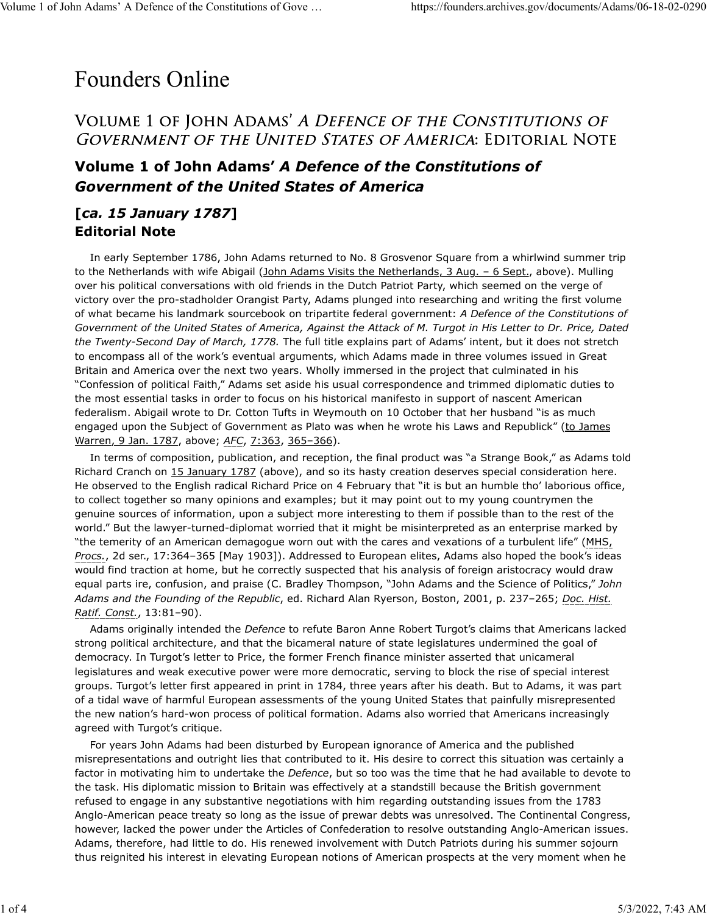### Founders Online

### Volume 1 of John Adams' A *Defence of the Constitutions of* GOVERNMENT OF THE UNITED STATES OF AMERICA: EDITORIAL NOTE

### **Volume 1 of John Adams'** *A Defence of the Constitutions of Government of the United States of America*

#### **[***ca. 15 January 1787***] Editorial Note**

In early September 1786, John Adams returned to No. 8 Grosvenor Square from a whirlwind summer trip to the Netherlands with wife Abigail (John Adams Visits the Netherlands, 3 Aug. - 6 Sept., above). Mulling over his political conversations with old friends in the Dutch Patriot Party, which seemed on the verge of victory over the pro-stadholder Orangist Party, Adams plunged into researching and writing the first volume of what became his landmark sourcebook on tripartite federal government: *A Defence of the Constitutions of Government of the United States of America, Against the Attack of M. Turgot in His Letter to Dr. Price, Dated the Twenty-Second Day of March, 1778.* The full title explains part of Adams' intent, but it does not stretch to encompass all of the work's eventual arguments, which Adams made in three volumes issued in Great Britain and America over the next two years. Wholly immersed in the project that culminated in his "Confession of political Faith," Adams set aside his usual correspondence and trimmed diplomatic duties to the most essential tasks in order to focus on his historical manifesto in support of nascent American federalism. Abigail wrote to Dr. Cotton Tufts in Weymouth on 10 October that her husband "is as much engaged upon the Subject of Government as Plato was when he wrote his Laws and Republick" (to James Warren, 9 Jan. 1787, above; *AFC*, 7:363, 365–366).

In terms of composition, publication, and reception, the final product was "a Strange Book," as Adams told Richard Cranch on 15 January 1787 (above), and so its hasty creation deserves special consideration here. He observed to the English radical Richard Price on 4 February that "it is but an humble tho' laborious office, to collect together so many opinions and examples; but it may point out to my young countrymen the genuine sources of information, upon a subject more interesting to them if possible than to the rest of the world." But the lawyer-turned-diplomat worried that it might be misinterpreted as an enterprise marked by "the temerity of an American demagogue worn out with the cares and vexations of a turbulent life" (MHS, *Procs.*, 2d ser., 17:364–365 [May 1903]). Addressed to European elites, Adams also hoped the book's ideas would find traction at home, but he correctly suspected that his analysis of foreign aristocracy would draw equal parts ire, confusion, and praise (C. Bradley Thompson, "John Adams and the Science of Politics," *John Adams and the Founding of the Republic*, ed. Richard Alan Ryerson, Boston, 2001, p. 237–265; *Doc. Hist. Ratif. Const.*, 13:81–90).

Adams originally intended the *Defence* to refute Baron Anne Robert Turgot's claims that Americans lacked strong political architecture, and that the bicameral nature of state legislatures undermined the goal of democracy. In Turgot's letter to Price, the former French finance minister asserted that unicameral legislatures and weak executive power were more democratic, serving to block the rise of special interest groups. Turgot's letter first appeared in print in 1784, three years after his death. But to Adams, it was part of a tidal wave of harmful European assessments of the young United States that painfully misrepresented the new nation's hard-won process of political formation. Adams also worried that Americans increasingly agreed with Turgot's critique.

For years John Adams had been disturbed by European ignorance of America and the published misrepresentations and outright lies that contributed to it. His desire to correct this situation was certainly a factor in motivating him to undertake the *Defence*, but so too was the time that he had available to devote to the task. His diplomatic mission to Britain was effectively at a standstill because the British government refused to engage in any substantive negotiations with him regarding outstanding issues from the 1783 Anglo-American peace treaty so long as the issue of prewar debts was unresolved. The Continental Congress, however, lacked the power under the Articles of Confederation to resolve outstanding Anglo-American issues. Adams, therefore, had little to do. His renewed involvement with Dutch Patriots during his summer sojourn thus reignited his interest in elevating European notions of American prospects at the very moment when he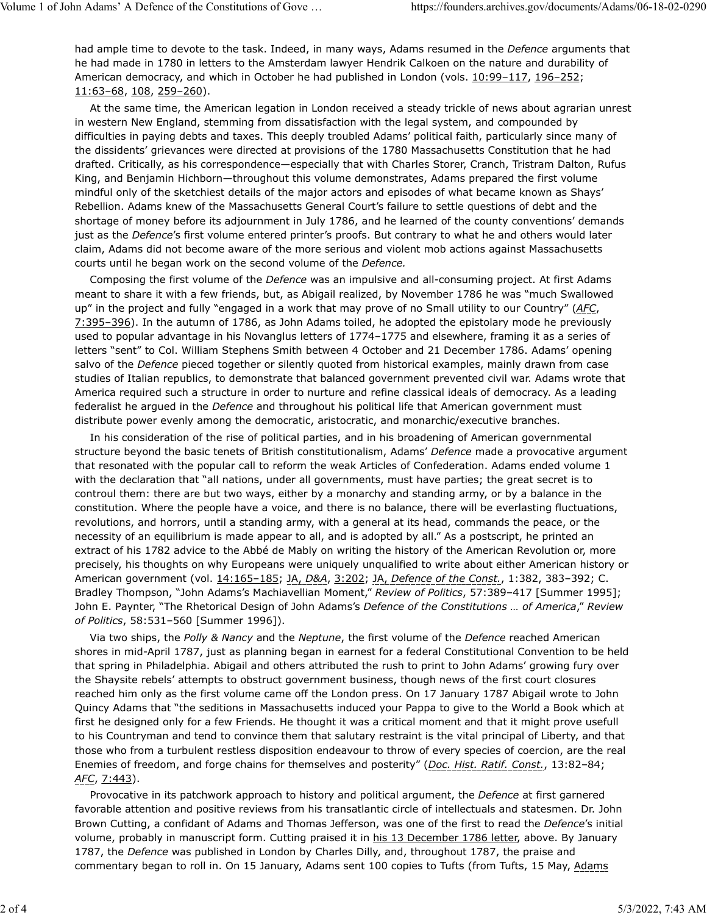had ample time to devote to the task. Indeed, in many ways, Adams resumed in the *Defence* arguments that he had made in 1780 in letters to the Amsterdam lawyer Hendrik Calkoen on the nature and durability of American democracy, and which in October he had published in London (vols. 10:99-117, 196-252; 11:63–68, 108, 259–260).

At the same time, the American legation in London received a steady trickle of news about agrarian unrest in western New England, stemming from dissatisfaction with the legal system, and compounded by difficulties in paying debts and taxes. This deeply troubled Adams' political faith, particularly since many of the dissidents' grievances were directed at provisions of the 1780 Massachusetts Constitution that he had drafted. Critically, as his correspondence—especially that with Charles Storer, Cranch, Tristram Dalton, Rufus King, and Benjamin Hichborn—throughout this volume demonstrates, Adams prepared the first volume mindful only of the sketchiest details of the major actors and episodes of what became known as Shays' Rebellion. Adams knew of the Massachusetts General Court's failure to settle questions of debt and the shortage of money before its adjournment in July 1786, and he learned of the county conventions' demands just as the *Defence*'s first volume entered printer's proofs. But contrary to what he and others would later claim, Adams did not become aware of the more serious and violent mob actions against Massachusetts courts until he began work on the second volume of the *Defence.*

Composing the first volume of the *Defence* was an impulsive and all-consuming project. At first Adams meant to share it with a few friends, but, as Abigail realized, by November 1786 he was "much Swallowed up" in the project and fully "engaged in a work that may prove of no Small utility to our Country" (*AFC*, 7:395–396). In the autumn of 1786, as John Adams toiled, he adopted the epistolary mode he previously used to popular advantage in his Novanglus letters of 1774–1775 and elsewhere, framing it as a series of letters "sent" to Col. William Stephens Smith between 4 October and 21 December 1786. Adams' opening salvo of the *Defence* pieced together or silently quoted from historical examples, mainly drawn from case studies of Italian republics, to demonstrate that balanced government prevented civil war. Adams wrote that America required such a structure in order to nurture and refine classical ideals of democracy. As a leading federalist he argued in the *Defence* and throughout his political life that American government must distribute power evenly among the democratic, aristocratic, and monarchic/executive branches.

In his consideration of the rise of political parties, and in his broadening of American governmental structure beyond the basic tenets of British constitutionalism, Adams' *Defence* made a provocative argument that resonated with the popular call to reform the weak Articles of Confederation. Adams ended volume 1 with the declaration that "all nations, under all governments, must have parties; the great secret is to controul them: there are but two ways, either by a monarchy and standing army, or by a balance in the constitution. Where the people have a voice, and there is no balance, there will be everlasting fluctuations, revolutions, and horrors, until a standing army, with a general at its head, commands the peace, or the necessity of an equilibrium is made appear to all, and is adopted by all." As a postscript, he printed an extract of his 1782 advice to the Abbé de Mably on writing the history of the American Revolution or, more precisely, his thoughts on why Europeans were uniquely unqualified to write about either American history or American government (vol. 14:165–185; JA, *D&A*, 3:202; JA, *Defence of the Const.*, 1:382, 383–392; C. Bradley Thompson, "John Adams's Machiavellian Moment," *Review of Politics*, 57:389–417 [Summer 1995]; John E. Paynter, "The Rhetorical Design of John Adams's *Defence of the Constitutions … of America*," *Review of Politics*, 58:531–560 [Summer 1996]).

Via two ships, the *Polly & Nancy* and the *Neptune*, the first volume of the *Defence* reached American shores in mid-April 1787, just as planning began in earnest for a federal Constitutional Convention to be held that spring in Philadelphia. Abigail and others attributed the rush to print to John Adams' growing fury over the Shaysite rebels' attempts to obstruct government business, though news of the first court closures reached him only as the first volume came off the London press. On 17 January 1787 Abigail wrote to John Quincy Adams that "the seditions in Massachusetts induced your Pappa to give to the World a Book which at first he designed only for a few Friends. He thought it was a critical moment and that it might prove usefull to his Countryman and tend to convince them that salutary restraint is the vital principal of Liberty, and that those who from a turbulent restless disposition endeavour to throw of every species of coercion, are the real Enemies of freedom, and forge chains for themselves and posterity" (*Doc. Hist. Ratif. Const.*, 13:82–84; *AFC*, 7:443).

Provocative in its patchwork approach to history and political argument, the *Defence* at first garnered favorable attention and positive reviews from his transatlantic circle of intellectuals and statesmen. Dr. John Brown Cutting, a confidant of Adams and Thomas Jefferson, was one of the first to read the *Defence*'s initial volume, probably in manuscript form. Cutting praised it in his 13 December 1786 letter, above. By January 1787, the *Defence* was published in London by Charles Dilly, and, throughout 1787, the praise and commentary began to roll in. On 15 January, Adams sent 100 copies to Tufts (from Tufts, 15 May, Adams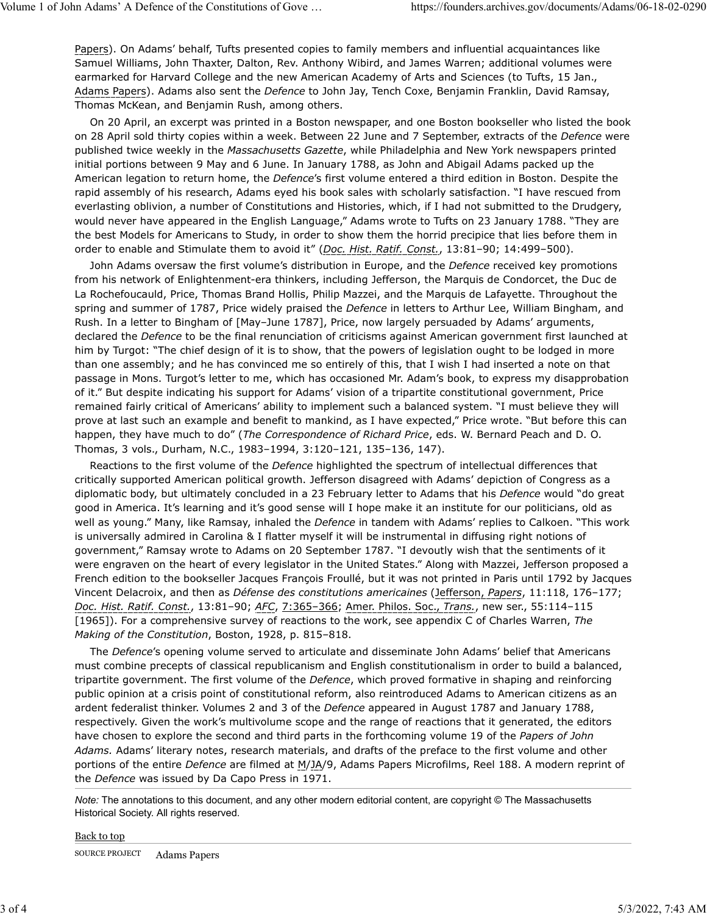Papers). On Adams' behalf, Tufts presented copies to family members and influential acquaintances like Samuel Williams, John Thaxter, Dalton, Rev. Anthony Wibird, and James Warren; additional volumes were earmarked for Harvard College and the new American Academy of Arts and Sciences (to Tufts, 15 Jan., Adams Papers). Adams also sent the *Defence* to John Jay, Tench Coxe, Benjamin Franklin, David Ramsay, Thomas McKean, and Benjamin Rush, among others.

On 20 April, an excerpt was printed in a Boston newspaper, and one Boston bookseller who listed the book on 28 April sold thirty copies within a week. Between 22 June and 7 September, extracts of the *Defence* were published twice weekly in the *Massachusetts Gazette*, while Philadelphia and New York newspapers printed initial portions between 9 May and 6 June. In January 1788, as John and Abigail Adams packed up the American legation to return home, the *Defence*'s first volume entered a third edition in Boston. Despite the rapid assembly of his research, Adams eyed his book sales with scholarly satisfaction. "I have rescued from everlasting oblivion, a number of Constitutions and Histories, which, if I had not submitted to the Drudgery, would never have appeared in the English Language," Adams wrote to Tufts on 23 January 1788. "They are the best Models for Americans to Study, in order to show them the horrid precipice that lies before them in order to enable and Stimulate them to avoid it" (*Doc. Hist. Ratif. Const.*, 13:81–90; 14:499–500).

John Adams oversaw the first volume's distribution in Europe, and the *Defence* received key promotions from his network of Enlightenment-era thinkers, including Jefferson, the Marquis de Condorcet, the Duc de La Rochefoucauld, Price, Thomas Brand Hollis, Philip Mazzei, and the Marquis de Lafayette. Throughout the spring and summer of 1787, Price widely praised the *Defence* in letters to Arthur Lee, William Bingham, and Rush. In a letter to Bingham of [May–June 1787], Price, now largely persuaded by Adams' arguments, declared the *Defence* to be the final renunciation of criticisms against American government first launched at him by Turgot: "The chief design of it is to show, that the powers of legislation ought to be lodged in more than one assembly; and he has convinced me so entirely of this, that I wish I had inserted a note on that passage in Mons. Turgot's letter to me, which has occasioned Mr. Adam's book, to express my disapprobation of it." But despite indicating his support for Adams' vision of a tripartite constitutional government, Price remained fairly critical of Americans' ability to implement such a balanced system. "I must believe they will prove at last such an example and benefit to mankind, as I have expected," Price wrote. "But before this can happen, they have much to do" (*The Correspondence of Richard Price*, eds. W. Bernard Peach and D. O. Thomas, 3 vols., Durham, N.C., 1983–1994, 3:120–121, 135–136, 147).

Reactions to the first volume of the *Defence* highlighted the spectrum of intellectual differences that critically supported American political growth. Jefferson disagreed with Adams' depiction of Congress as a diplomatic body, but ultimately concluded in a 23 February letter to Adams that his *Defence* would "do great good in America. It's learning and it's good sense will I hope make it an institute for our politicians, old as well as young." Many, like Ramsay, inhaled the *Defence* in tandem with Adams' replies to Calkoen. "This work is universally admired in Carolina & I flatter myself it will be instrumental in diffusing right notions of government," Ramsay wrote to Adams on 20 September 1787. "I devoutly wish that the sentiments of it were engraven on the heart of every legislator in the United States." Along with Mazzei, Jefferson proposed a French edition to the bookseller Jacques François Froullé, but it was not printed in Paris until 1792 by Jacques Vincent Delacroix, and then as *Défense des constitutions americaines* (Jefferson, *Papers*, 11:118, 176–177; *Doc. Hist. Ratif. Const.*, 13:81–90; *AFC*, 7:365–366; Amer. Philos. Soc., *Trans.*, new ser., 55:114–115 [1965]). For a comprehensive survey of reactions to the work, see appendix C of Charles Warren, *The Making of the Constitution*, Boston, 1928, p. 815–818.

The *Defence*'s opening volume served to articulate and disseminate John Adams' belief that Americans must combine precepts of classical republicanism and English constitutionalism in order to build a balanced, tripartite government. The first volume of the *Defence*, which proved formative in shaping and reinforcing public opinion at a crisis point of constitutional reform, also reintroduced Adams to American citizens as an ardent federalist thinker. Volumes 2 and 3 of the *Defence* appeared in August 1787 and January 1788, respectively. Given the work's multivolume scope and the range of reactions that it generated, the editors have chosen to explore the second and third parts in the forthcoming volume 19 of the *Papers of John Adams.* Adams' literary notes, research materials, and drafts of the preface to the first volume and other portions of the entire *Defence* are filmed at M/JA/9, Adams Papers Microfilms, Reel 188. A modern reprint of the *Defence* was issued by Da Capo Press in 1971.

*Note:* The annotations to this document, and any other modern editorial content, are copyright © The Massachusetts Historical Society. All rights reserved.

#### Back to top SOURCE PROJECT Adams Papers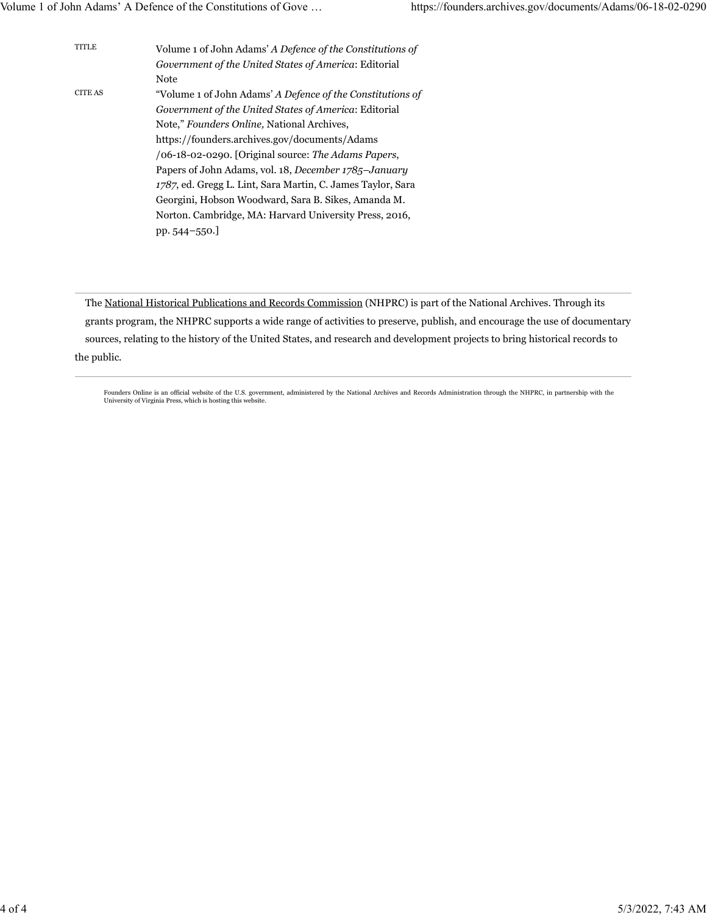| <b>TITLE</b> | Volume 1 of John Adams' A Defence of the Constitutions of   |
|--------------|-------------------------------------------------------------|
|              | Government of the United States of America: Editorial       |
|              | Note                                                        |
| CITE AS      | "Volume 1 of John Adams' A Defence of the Constitutions of  |
|              | Government of the United States of America: Editorial       |
|              | Note," Founders Online, National Archives,                  |
|              | https://founders.archives.gov/documents/Adams               |
|              | /06-18-02-0290. [Original source: The Adams Papers,         |
|              | Papers of John Adams, vol. 18, December 1785–January        |
|              | 1787, ed. Gregg L. Lint, Sara Martin, C. James Taylor, Sara |
|              | Georgini, Hobson Woodward, Sara B. Sikes, Amanda M.         |
|              | Norton. Cambridge, MA: Harvard University Press, 2016,      |
|              | pp. $544 - 550$ .                                           |
|              |                                                             |

The National Historical Publications and Records Commission (NHPRC) is part of the National Archives. Through its grants program, the NHPRC supports a wide range of activities to preserve, publish, and encourage the use of documentary sources, relating to the history of the United States, and research and development projects to bring historical records to the public.

Founders Online is an official website of the U.S. government, administered by the National Archives and Records Administration through the NHPRC, in partnership with the<br>University of Virginia Press, which is hosting this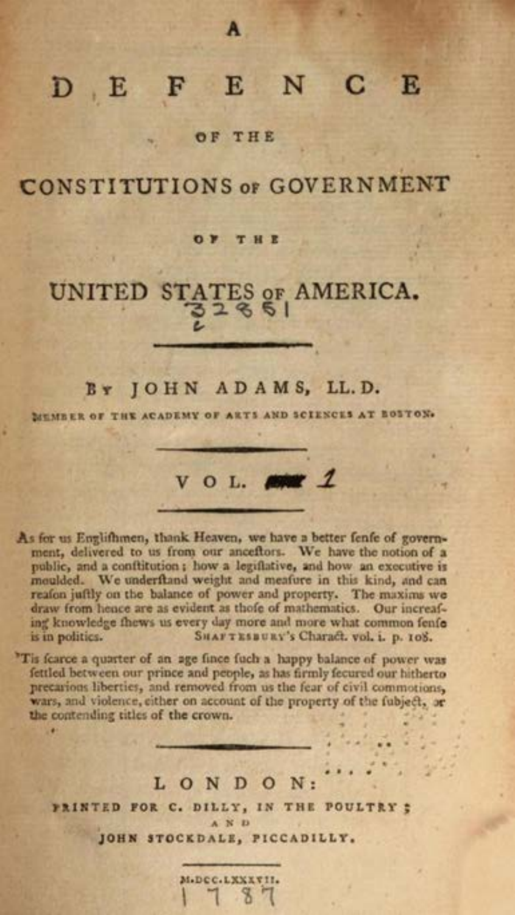#### $D$   $E$   $F$ ENC E

OF THE

**CONSTITUTIONS or GOVERNMENT** 

#### OF THE

# UNITED STATES OF AMERICA.

#### BY JOHN ADAMS, LL.D.

MUMBER OF THE ACADEMY OF ARTS AND SCIENCES AT ROSTON.

 $V$  O L.

As for us Englifhmen, thank Heaven, we have a better fenfe of government, delivered to us from our anceftors. We have the notion of a public, and a conflitution; how a legiflative, and how an executive is moulded. We underftand weight and meafure in this kind, and can reafon juftly on the balance of power and property. The maxims we draw from hence are as evident as thofe of mathematics. Our increafing knowledge thews us every day more and more what common fenfo is in politics. SHAFTESBURY's Charact. vol. i. p. 108.

"Tis fcarce a quarter of an age fince fuch a happy balance of power was fettled between our prince and people, as has firmly fecured our hitherto precarions liberties, and removed from us the fear of civil commotions, wars, and violence, either on account of the property of the fubject, or the contending titles of the crown.

×

#### LONDON:

PRINTED FOR C. DILLY, IN THE POULTRY ; AND

JOHN STOCKDALE, PICCADILLY.

M.DCC.LXXXVII.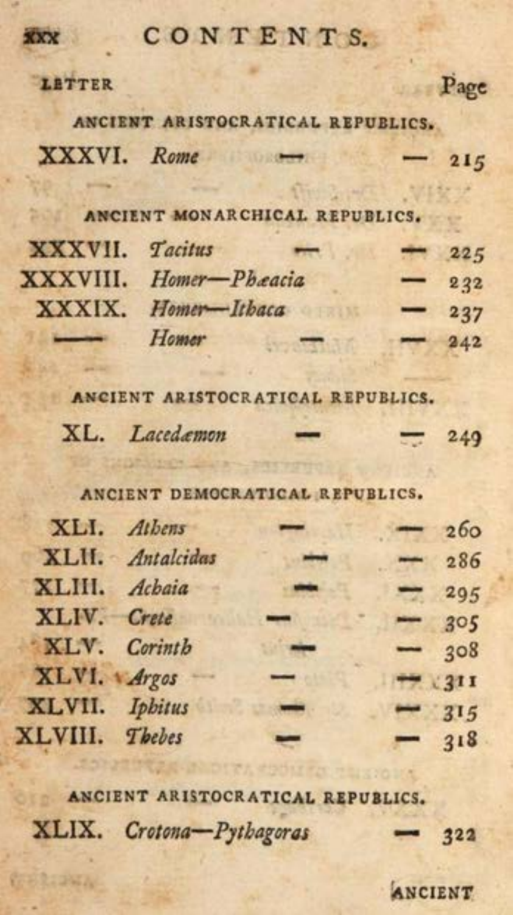#### CONTENTS.

#### LETTER

XXX

ANCIENT ARISTOCRATICAL REPUBLICS. XXXVI. Rome 215

ANCIENT MONARCHICAL REPUBLICS.

| XXXVII. Tacitus | <b>The Second</b>      | <b>Read</b> | 225 |
|-----------------|------------------------|-------------|-----|
|                 | XXXVIII. Homer-Phæacia |             | 232 |
|                 | XXXIX. Homer-Ithaca    |             | 237 |
|                 | Homer                  |             | 242 |

ANCIENT ARISTOCRATICAL REPUBLICS.

| XL. Lacedæmon | <b>The Second Second</b> |  | 7249 |
|---------------|--------------------------|--|------|
|---------------|--------------------------|--|------|

ANCIENT DEMOCRATICAL REPUBLICS.

|                | XLI. Athens      |   | $-260$ |                 |
|----------------|------------------|---|--------|-----------------|
|                | XLII. Antalcidas |   |        | $-286$          |
| XLIII. Achaia  |                  |   |        | $-295$          |
| XLIV. Crete    |                  | - |        | $-305$          |
| XLV. Corinth   |                  |   |        | $-308$          |
| XLVI. Argos    |                  |   |        | <b>THE 2311</b> |
| XLVII. Iphitus |                  | - |        | $-315$          |
| XLVIII. Thebes |                  | ╾ |        | $-318$          |
|                |                  |   |        |                 |

ANCIENT ARISTOCRATICAL REPUBLICS.

XLIX. Crotona-Pythagoras 322

ANCIENT

Page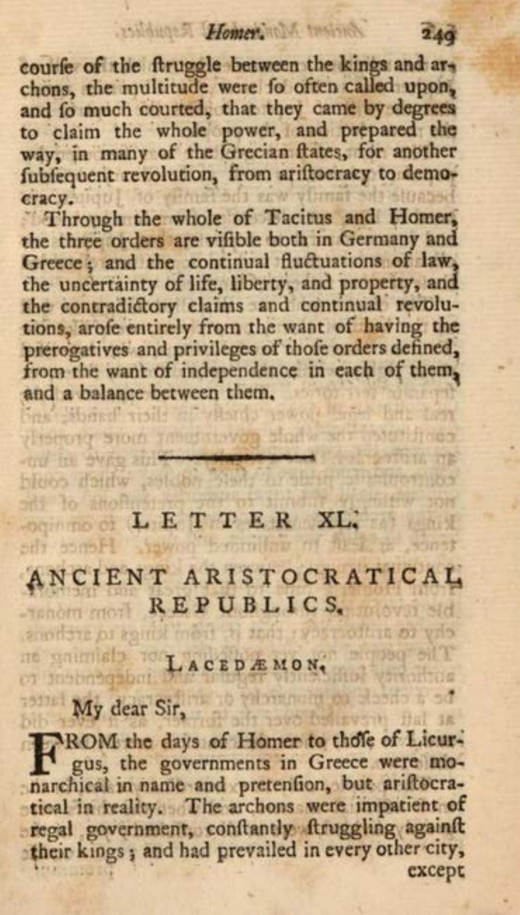courfe of the ftruggle between the kings and archons, the multitude were fo often called upon, to claim the whole power, and prepared the fubfequent revolution, from ariftocracy to demozuw yfuriat aiti stoased cracy.

Through the whole of Tacitus and Homer, the three orders are vifible both in Germany and Greece; and the continual fluctuations of law, the uncertainty of life, liberty, and property, and<br>the contradictory claims and continual revolutions, arofe entirely from the want of having the prerogatives and privileges of thofe orders defined, from the want of independence in each of them, and a balance between them. res Shard risil as what's power liter backets.

## add to anoft L E T T E R XL, The Most

and in over able to give middle

ANCIENT ARISTOCRATICAL -Tender Mori REPUBLICS.

chy to antiotrack: that it from limps to arthons,

Die gaimiste TACEDAMON. This of

Hence the

FROM the days of Homer to those of Licur-<br>gus, the governments in Greece were mo-<br>narchical in name and pretention, but ariftocratical in reality. The archons were impatient of regal government, conftantly ftruggling againft except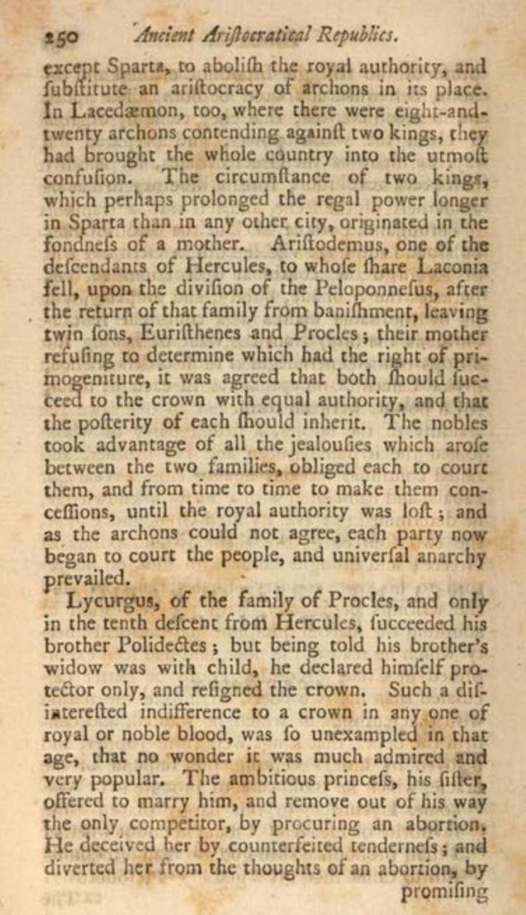#### Ancient Ariftocratical Republics.

250

except Sparta, to abolith the royal authority, and fubilitute an ariftocracy of archons in its place. In Lacedæmon, too, where there were eight-andtwenty archons contending againft two kings, they had brought the whole country into the utmoft confution. The circumftance of two kings, which perhaps prolonged the regal power longer in Sparta than in any other city, originated in the fondnels of a mother. Ariftodemus, one of the defeendants of Hercules, to whole thare Laconia fell, upon the divifion of the Peloponnefus, after the return of that family from banifhment, leaving twin fons, Eurifthenes and Procles; their mother refuling to determine which had the right of primogeniture, it was agreed that both fhould fucceed to the crown with equal authority, and that the pofterity of each fhould inherit. The nobles took advantage of all the jealoufies which arofe between the two families, obliged each to court them, and from time to time to make them conceffions, until the royal authority was loft; and as the archons could not agree, each party now began to court the people, and univerfal anarchy prevailed.

Lycurgus, of the family of Procles, and only in the tenth defcent from Hercules, fucceeded his brother Polidectes; but being told his brother's widow was with child, he declared himfelf protector only, and refigned the crown. Such a difinterefted indifference to a crown in any one of royal or noble blood, was fo unexampled in that age, that no wonder it was much admired and<br>very popular. The ambitious princefs, his fifter, offered to marry him, and remove out of his way the only competitor, by procuring an abortion. He deceived her by counterfeited tendernefs; and diverted her from the thoughts of an abortion, by promifing